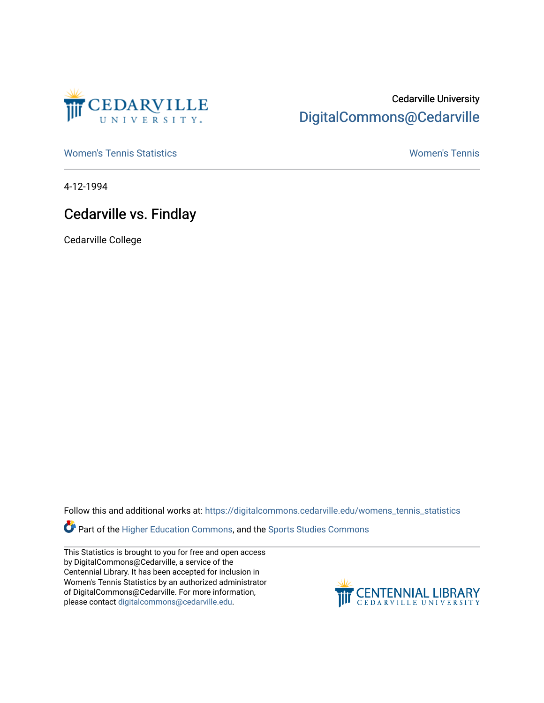

## Cedarville University [DigitalCommons@Cedarville](https://digitalcommons.cedarville.edu/)

[Women's Tennis Statistics](https://digitalcommons.cedarville.edu/womens_tennis_statistics) [Women's Tennis](https://digitalcommons.cedarville.edu/womens_tennis) 

4-12-1994

## Cedarville vs. Findlay

Cedarville College

Follow this and additional works at: [https://digitalcommons.cedarville.edu/womens\\_tennis\\_statistics](https://digitalcommons.cedarville.edu/womens_tennis_statistics?utm_source=digitalcommons.cedarville.edu%2Fwomens_tennis_statistics%2F178&utm_medium=PDF&utm_campaign=PDFCoverPages) 

**Part of the [Higher Education Commons,](http://network.bepress.com/hgg/discipline/1245?utm_source=digitalcommons.cedarville.edu%2Fwomens_tennis_statistics%2F178&utm_medium=PDF&utm_campaign=PDFCoverPages) and the Sports Studies Commons** 

This Statistics is brought to you for free and open access by DigitalCommons@Cedarville, a service of the Centennial Library. It has been accepted for inclusion in Women's Tennis Statistics by an authorized administrator of DigitalCommons@Cedarville. For more information, please contact [digitalcommons@cedarville.edu](mailto:digitalcommons@cedarville.edu).